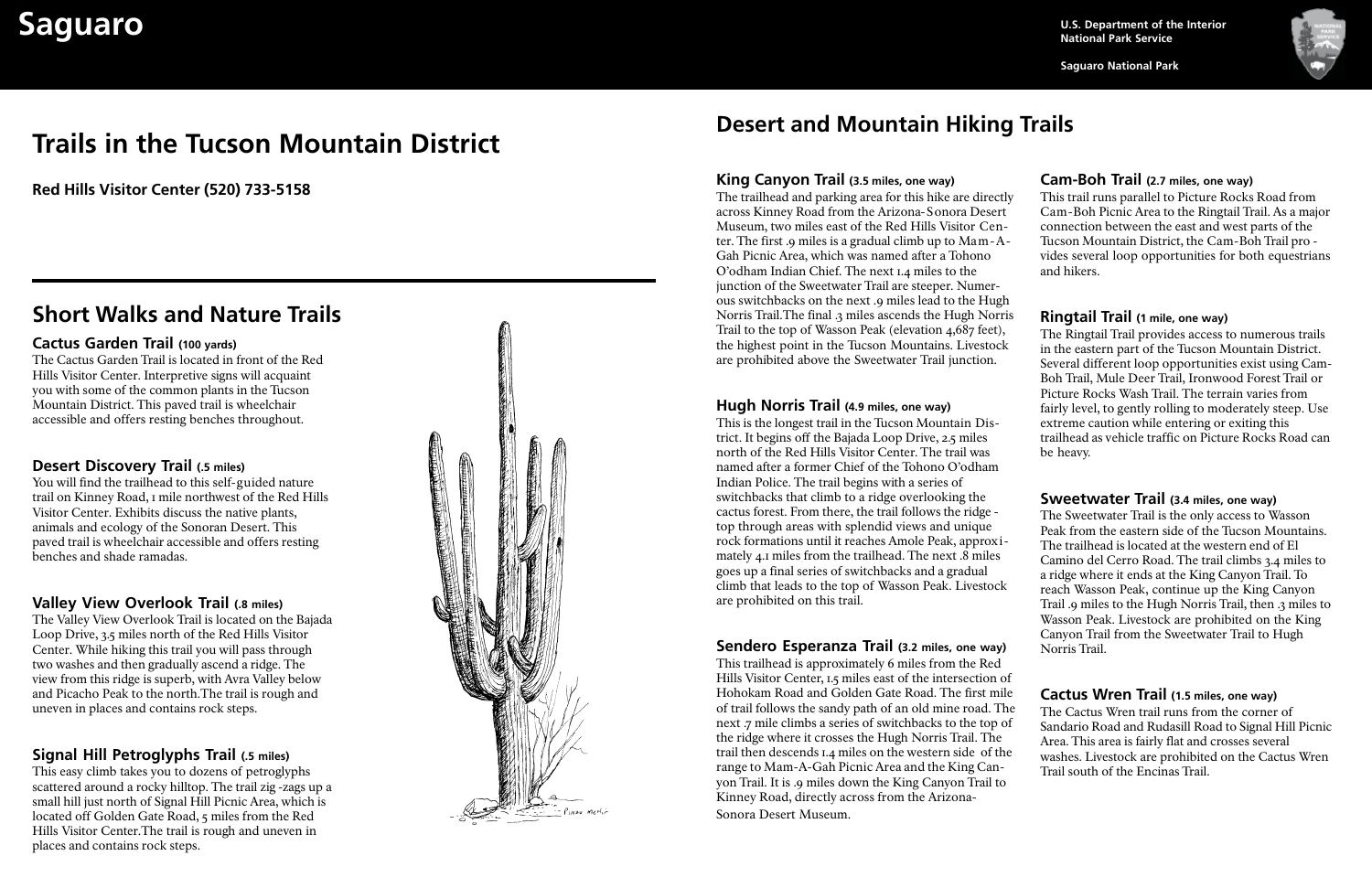**National Park Service**

**Saguaro National Park**



# **Saguaro U.S. Department of the Interior**<br>National Park Service

# **Trails in the Tucson Mountain District**

**Red Hills Visitor Center (520) 733-5158**

#### **Cactus Garden Trail (100 yards)**

The Cactus Garden Trail is located in front of the Red Hills Visitor Center. Interpretive signs will acquaint you with some of the common plants in the Tucson Mountain District. This paved trail is wheelchair accessible and offers resting benches throughout.

## **Desert Discovery Trail (.5 miles)**

You will find the trailhead to this self-guided nature trail on Kinney Road, 1 mile northwest of the Red Hills Visitor Center. Exhibits discuss the native plants, animals and ecology of the Sonoran Desert. This paved trail is wheelchair accessible and offers resting benches and shade ramadas.

### **Valley View Overlook Trail (.8 miles)**

The Valley View Overlook Trail is located on the Bajada Loop Drive, 3.5 miles north of the Red Hills Visitor Center. While hiking this trail you will pass through two washes and then gradually ascend a ridge. The view from this ridge is superb, with Avra Valley below and Picacho Peak to the north.The trail is rough and uneven in places and contains rock steps.

# **Signal Hill Petroglyphs Trail (.5 miles)**

This easy climb takes you to dozens of petroglyphs scattered around a rocky hilltop. The trail zig-zags up a small hill just north of Signal Hill Picnic Area, which is located off Golden Gate Road, 5 miles from the Red Hills Visitor Center.The trail is rough and uneven in places and contains rock steps.



# **Desert and Mountain Hiking Trails**

# **King Canyon Trail (3.5 miles, one way)**

#### **Hugh Norris Trail (4.9 miles, one way)**

This is the longest trail in the Tucson Mountain District. It begins off the Bajada Loop Drive, 2.5 miles north of the Red Hills Visitor Center. The trail was named after a former Chief of the Tohono O'odham Indian Police. The trail begins with a series of switchbacks that climb to a ridge overlooking the cactus forest. From there, the trail follows the ridge top through areas with splendid views and unique rock formations until it reaches Amole Peak, approximately 4.1 miles from the trailhead. The next .8 miles goes up a final series of switchbacks and a gradual climb that leads to the top of Wasson Peak. Livestock are prohibited on this trail.

The trailhead and parking area for this hike are directly across Kinney Road from the Arizona-Sonora Desert Museum, two miles east of the Red Hills Visitor Center. The first .9 miles is a gradual climb up to Mam-A-Gah Picnic Area, which was named after a Tohono O'odham Indian Chief. The next 1.4 miles to the junction of the Sweetwater Trail are steeper. Numerous switchbacks on the next .9 miles lead to the Hugh Norris Trail.The final .3 miles ascends the Hugh Norris Trail to the top of Wasson Peak (elevation 4,687 feet), the highest point in the Tucson Mountains. Livestock are prohibited above the Sweetwater Trail junction. This trail runs parallel to Picture Rocks Road from Cam-Boh Picnic Area to the Ringtail Trail. As a major connection between the east and west parts of the Tucson Mountain District, the Cam-Boh Trail pro vides several loop opportunities for both equestrians and hikers. **Ringtail Trail (1 mile, one way)** The Ringtail Trail provides access to numerous trails in the eastern part of the Tucson Mountain District.

# **Sendero Esperanza Trail (3.2 miles, one way)**

This trailhead is approximately 6 miles from the Red Hills Visitor Center, 1.5 miles east of the intersection of Hohokam Road and Golden Gate Road. The first mile of trail follows the sandy path of an old mine road. The next .7 mile climbs a series of switchbacks to the top of the ridge where it crosses the Hugh Norris Trail. The trail then descends 1.4 miles on the western side of the range to Mam-A-Gah Picnic Area and the King Canyon Trail. It is .9 miles down the King Canyon Trail to Kinney Road, directly across from the Arizona-Sonora Desert Museum.

# **Short Walks and Nature Trails**

# **Cam-Boh Trail (2.7 miles, one way)**

Several different loop opportunities exist using Cam-Boh Trail, Mule Deer Trail, Ironwood Forest Trail or Picture Rocks Wash Trail. The terrain varies from fairly level, to gently rolling to moderately steep. Use extreme caution while entering or exiting this trailhead as vehicle traffic on Picture Rocks Road can be heavy.

### **Sweetwater Trail (3.4 miles, one way)**

The Sweetwater Trail is the only access to Wasson Peak from the eastern side of the Tucson Mountains. The trailhead is located at the western end of El Camino del Cerro Road. The trail climbs 3.4 miles to a ridge where it ends at the King Canyon Trail. To reach Wasson Peak, continue up the King Canyon Trail .9 miles to the Hugh Norris Trail, then .3 miles to Wasson Peak. Livestock are prohibited on the King Canyon Trail from the Sweetwater Trail to Hugh Norris Trail.

#### **Cactus Wren Trail (1.5 miles, one way)**

The Cactus Wren trail runs from the corner of Sandario Road and Rudasill Road to Signal Hill Picnic Area. This area is fairly flat and crosses several washes. Livestock are prohibited on the Cactus Wren Trail south of the Encinas Trail.